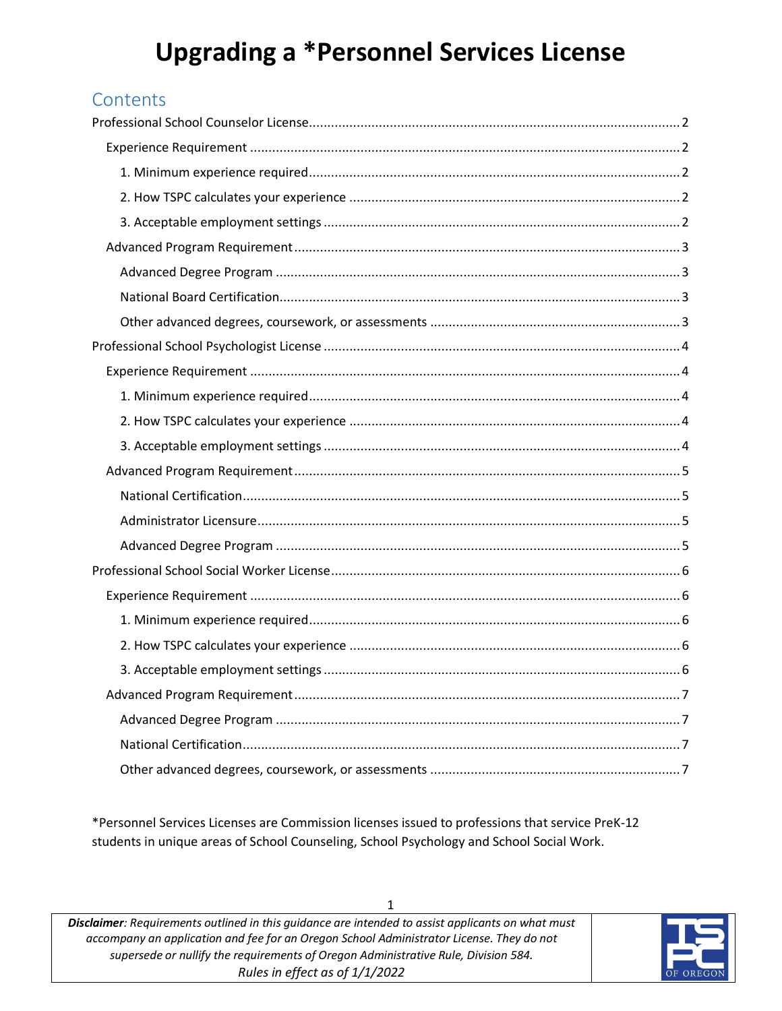# **Upgrading a \*Personnel Services License**

# **Contents**

\*Personnel Services Licenses are Commission licenses issued to professions that service PreK-12 students in unique areas of School Counseling, School Psychology and School Social Work.

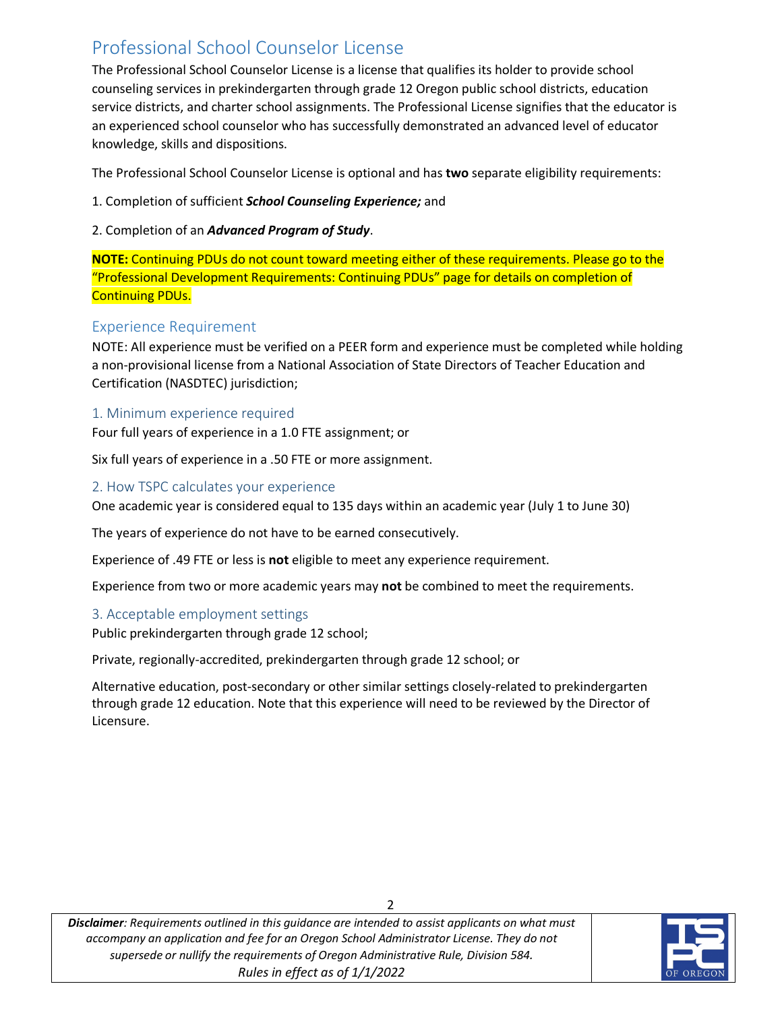# <span id="page-1-0"></span>Professional School Counselor License

The Professional School Counselor License is a license that qualifies its holder to provide school counseling services in prekindergarten through grade 12 Oregon public school districts, education service districts, and charter school assignments. The Professional License signifies that the educator is an experienced school counselor who has successfully demonstrated an advanced level of educator knowledge, skills and dispositions.

The Professional School Counselor License is optional and has **two** separate eligibility requirements:

- 1. Completion of sufficient *School Counseling Experience;* and
- 2. Completion of an *Advanced Program of Study*.

**NOTE:** Continuing PDUs do not count toward meeting either of these requirements. Please go to the "Professional Development Requirements: Continuing PDUs" page for details on completion of Continuing PDUs.

# <span id="page-1-1"></span>Experience Requirement

NOTE: All experience must be verified on a PEER form and experience must be completed while holding a non-provisional license from a National Association of State Directors of Teacher Education and Certification (NASDTEC) jurisdiction;

### <span id="page-1-2"></span>1. Minimum experience required

Four full years of experience in a 1.0 FTE assignment; or

Six full years of experience in a .50 FTE or more assignment.

#### <span id="page-1-3"></span>2. How TSPC calculates your experience

One academic year is considered equal to 135 days within an academic year (July 1 to June 30)

The years of experience do not have to be earned consecutively.

Experience of .49 FTE or less is **not** eligible to meet any experience requirement.

Experience from two or more academic years may **not** be combined to meet the requirements.

### <span id="page-1-4"></span>3. Acceptable employment settings

Public prekindergarten through grade 12 school;

Private, regionally-accredited, prekindergarten through grade 12 school; or

Alternative education, post-secondary or other similar settings closely-related to prekindergarten through grade 12 education. Note that this experience will need to be reviewed by the Director of Licensure.

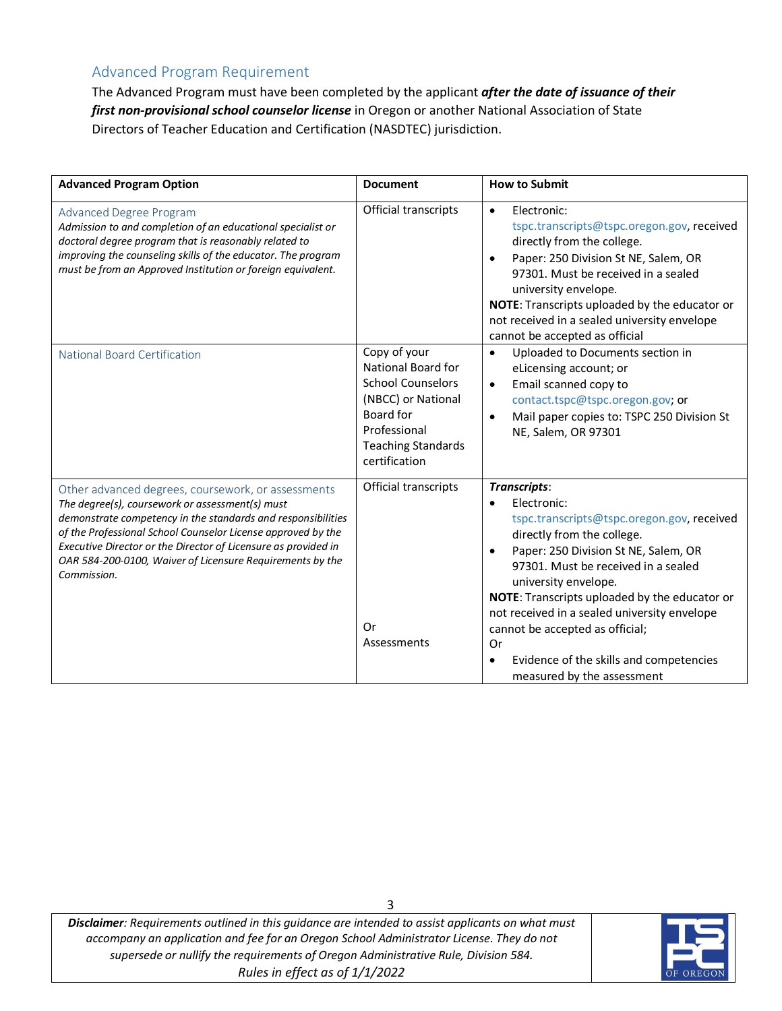# <span id="page-2-0"></span>Advanced Program Requirement

The Advanced Program must have been completed by the applicant *after the date of issuance of their first non-provisional school counselor license* in Oregon or another National Association of State Directors of Teacher Education and Certification (NASDTEC) jurisdiction.

<span id="page-2-3"></span><span id="page-2-2"></span><span id="page-2-1"></span>

| <b>Advanced Program Option</b>                                                                                                                                                                                                                                                                                                                                                      | <b>Document</b>                                                                                                                                                 | <b>How to Submit</b>                                                                                                                                                                                                                                                                                                                                                                                                                                                     |
|-------------------------------------------------------------------------------------------------------------------------------------------------------------------------------------------------------------------------------------------------------------------------------------------------------------------------------------------------------------------------------------|-----------------------------------------------------------------------------------------------------------------------------------------------------------------|--------------------------------------------------------------------------------------------------------------------------------------------------------------------------------------------------------------------------------------------------------------------------------------------------------------------------------------------------------------------------------------------------------------------------------------------------------------------------|
| <b>Advanced Degree Program</b><br>Admission to and completion of an educational specialist or<br>doctoral degree program that is reasonably related to<br>improving the counseling skills of the educator. The program<br>must be from an Approved Institution or foreign equivalent.                                                                                               | Official transcripts                                                                                                                                            | Electronic:<br>$\bullet$<br>tspc.transcripts@tspc.oregon.gov, received<br>directly from the college.<br>Paper: 250 Division St NE, Salem, OR<br>$\bullet$<br>97301. Must be received in a sealed<br>university envelope.<br>NOTE: Transcripts uploaded by the educator or<br>not received in a sealed university envelope<br>cannot be accepted as official                                                                                                              |
| <b>National Board Certification</b>                                                                                                                                                                                                                                                                                                                                                 | Copy of your<br>National Board for<br><b>School Counselors</b><br>(NBCC) or National<br>Board for<br>Professional<br><b>Teaching Standards</b><br>certification | Uploaded to Documents section in<br>$\bullet$<br>eLicensing account; or<br>Email scanned copy to<br>$\bullet$<br>contact.tspc@tspc.oregon.gov; or<br>Mail paper copies to: TSPC 250 Division St<br>$\bullet$<br>NE, Salem, OR 97301                                                                                                                                                                                                                                      |
| Other advanced degrees, coursework, or assessments<br>The degree(s), coursework or assessment(s) must<br>demonstrate competency in the standards and responsibilities<br>of the Professional School Counselor License approved by the<br>Executive Director or the Director of Licensure as provided in<br>OAR 584-200-0100, Waiver of Licensure Requirements by the<br>Commission. | Official transcripts<br><b>Or</b><br>Assessments                                                                                                                | Transcripts:<br>Electronic:<br>$\bullet$<br>tspc.transcripts@tspc.oregon.gov, received<br>directly from the college.<br>Paper: 250 Division St NE, Salem, OR<br>$\bullet$<br>97301. Must be received in a sealed<br>university envelope.<br>NOTE: Transcripts uploaded by the educator or<br>not received in a sealed university envelope<br>cannot be accepted as official;<br>0r<br>Evidence of the skills and competencies<br>$\bullet$<br>measured by the assessment |

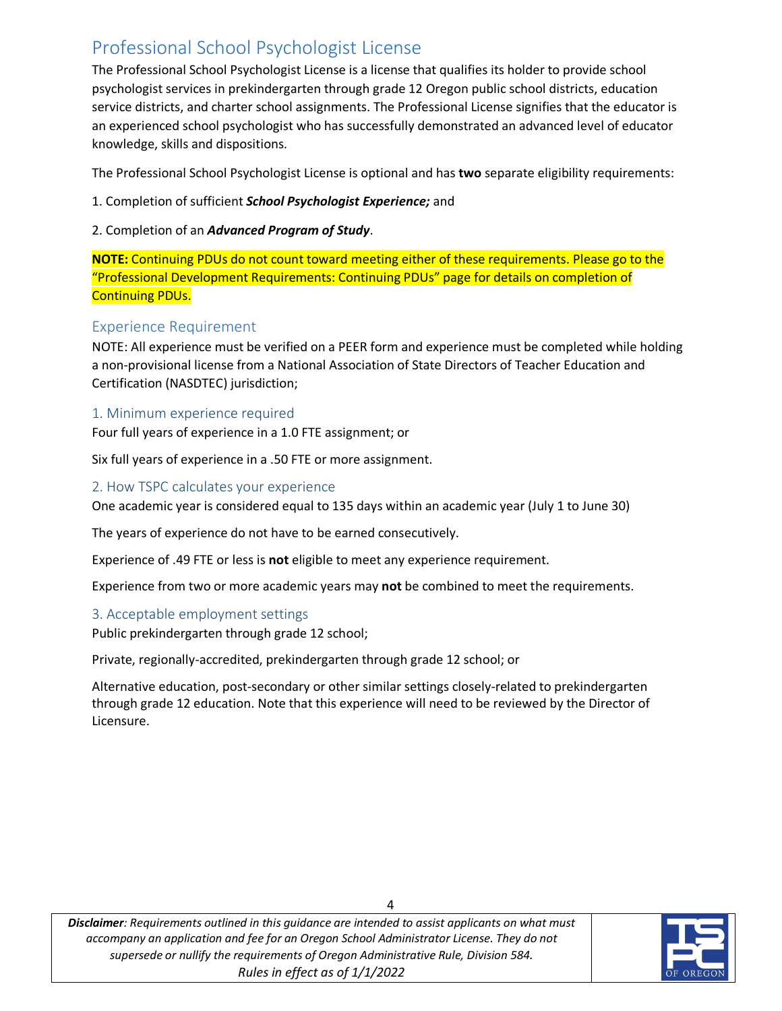# <span id="page-3-0"></span>Professional School Psychologist License

The Professional School Psychologist License is a license that qualifies its holder to provide school psychologist services in prekindergarten through grade 12 Oregon public school districts, education service districts, and charter school assignments. The Professional License signifies that the educator is an experienced school psychologist who has successfully demonstrated an advanced level of educator knowledge, skills and dispositions.

The Professional School Psychologist License is optional and has **two** separate eligibility requirements:

- 1. Completion of sufficient *School Psychologist Experience;* and
- 2. Completion of an *Advanced Program of Study*.

**NOTE:** Continuing PDUs do not count toward meeting either of these requirements. Please go to the "Professional Development Requirements: Continuing PDUs" page for details on completion of Continuing PDUs.

# <span id="page-3-1"></span>Experience Requirement

NOTE: All experience must be verified on a PEER form and experience must be completed while holding a non-provisional license from a National Association of State Directors of Teacher Education and Certification (NASDTEC) jurisdiction;

### <span id="page-3-2"></span>1. Minimum experience required

Four full years of experience in a 1.0 FTE assignment; or

Six full years of experience in a .50 FTE or more assignment.

#### <span id="page-3-3"></span>2. How TSPC calculates your experience

One academic year is considered equal to 135 days within an academic year (July 1 to June 30)

The years of experience do not have to be earned consecutively.

Experience of .49 FTE or less is **not** eligible to meet any experience requirement.

Experience from two or more academic years may **not** be combined to meet the requirements.

### <span id="page-3-4"></span>3. Acceptable employment settings

Public prekindergarten through grade 12 school;

Private, regionally-accredited, prekindergarten through grade 12 school; or

Alternative education, post-secondary or other similar settings closely-related to prekindergarten through grade 12 education. Note that this experience will need to be reviewed by the Director of Licensure.

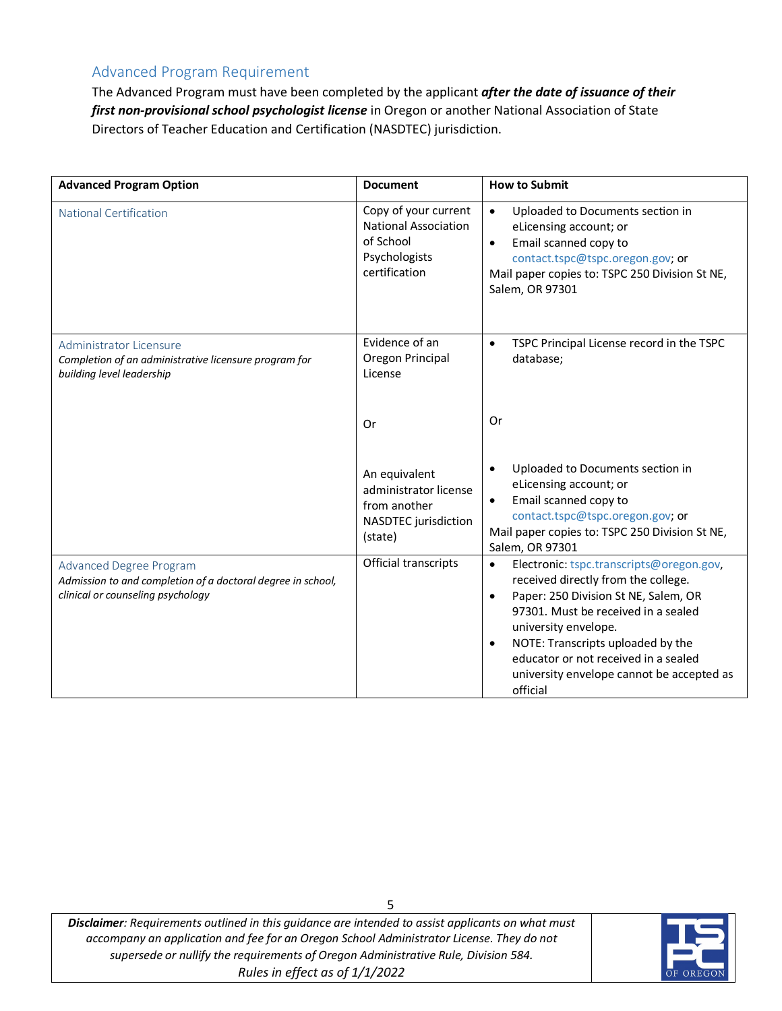# <span id="page-4-0"></span>Advanced Program Requirement

The Advanced Program must have been completed by the applicant *after the date of issuance of their first non-provisional school psychologist license* in Oregon or another National Association of State Directors of Teacher Education and Certification (NASDTEC) jurisdiction.

<span id="page-4-3"></span><span id="page-4-2"></span><span id="page-4-1"></span>

| <b>Advanced Program Option</b>                                                                                                     | <b>Document</b>                                                                                    | <b>How to Submit</b>                                                                                                                                                                                                                                                                                                                                                |
|------------------------------------------------------------------------------------------------------------------------------------|----------------------------------------------------------------------------------------------------|---------------------------------------------------------------------------------------------------------------------------------------------------------------------------------------------------------------------------------------------------------------------------------------------------------------------------------------------------------------------|
| <b>National Certification</b>                                                                                                      | Copy of your current<br><b>National Association</b><br>of School<br>Psychologists<br>certification | $\bullet$<br>Uploaded to Documents section in<br>eLicensing account; or<br>Email scanned copy to<br>$\bullet$<br>contact.tspc@tspc.oregon.gov; or<br>Mail paper copies to: TSPC 250 Division St NE,<br>Salem, OR 97301                                                                                                                                              |
| <b>Administrator Licensure</b><br>Completion of an administrative licensure program for<br>building level leadership               | Evidence of an<br>Oregon Principal<br>License                                                      | TSPC Principal License record in the TSPC<br>$\bullet$<br>database;                                                                                                                                                                                                                                                                                                 |
|                                                                                                                                    | Or                                                                                                 | Or                                                                                                                                                                                                                                                                                                                                                                  |
|                                                                                                                                    | An equivalent<br>administrator license<br>from another<br>NASDTEC jurisdiction<br>(state)          | Uploaded to Documents section in<br>$\bullet$<br>eLicensing account; or<br>Email scanned copy to<br>$\bullet$<br>contact.tspc@tspc.oregon.gov; or<br>Mail paper copies to: TSPC 250 Division St NE,<br>Salem, OR 97301                                                                                                                                              |
| <b>Advanced Degree Program</b><br>Admission to and completion of a doctoral degree in school,<br>clinical or counseling psychology | Official transcripts                                                                               | Electronic: tspc.transcripts@oregon.gov,<br>$\bullet$<br>received directly from the college.<br>Paper: 250 Division St NE, Salem, OR<br>$\bullet$<br>97301. Must be received in a sealed<br>university envelope.<br>NOTE: Transcripts uploaded by the<br>$\bullet$<br>educator or not received in a sealed<br>university envelope cannot be accepted as<br>official |

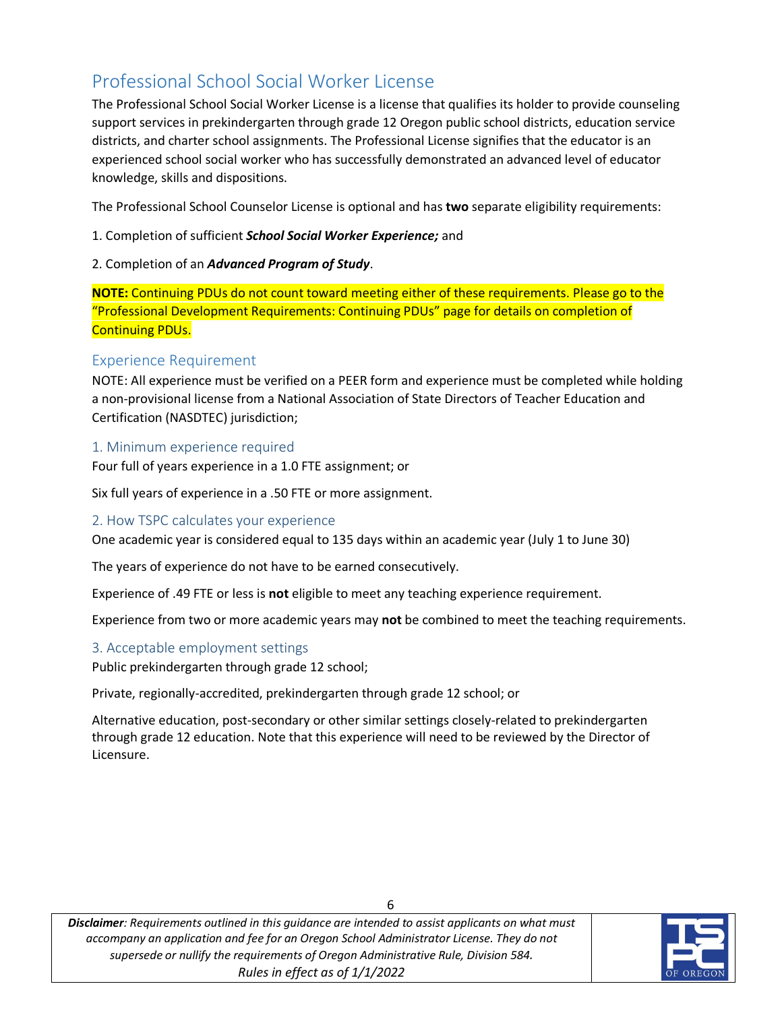# <span id="page-5-0"></span>Professional School Social Worker License

The Professional School Social Worker License is a license that qualifies its holder to provide counseling support services in prekindergarten through grade 12 Oregon public school districts, education service districts, and charter school assignments. The Professional License signifies that the educator is an experienced school social worker who has successfully demonstrated an advanced level of educator knowledge, skills and dispositions.

The Professional School Counselor License is optional and has **two** separate eligibility requirements:

1. Completion of sufficient *School Social Worker Experience;* and

#### 2. Completion of an *Advanced Program of Study*.

**NOTE:** Continuing PDUs do not count toward meeting either of these requirements. Please go to the "Professional Development Requirements: Continuing PDUs" page for details on completion of Continuing PDUs.

#### <span id="page-5-1"></span>Experience Requirement

NOTE: All experience must be verified on a PEER form and experience must be completed while holding a non-provisional license from a National Association of State Directors of Teacher Education and Certification (NASDTEC) jurisdiction;

#### <span id="page-5-2"></span>1. Minimum experience required

Four full of years experience in a 1.0 FTE assignment; or

Six full years of experience in a .50 FTE or more assignment.

#### <span id="page-5-3"></span>2. How TSPC calculates your experience

One academic year is considered equal to 135 days within an academic year (July 1 to June 30)

The years of experience do not have to be earned consecutively.

Experience of .49 FTE or less is **not** eligible to meet any teaching experience requirement.

Experience from two or more academic years may **not** be combined to meet the teaching requirements.

#### <span id="page-5-4"></span>3. Acceptable employment settings

Public prekindergarten through grade 12 school;

Private, regionally-accredited, prekindergarten through grade 12 school; or

Alternative education, post-secondary or other similar settings closely-related to prekindergarten through grade 12 education. Note that this experience will need to be reviewed by the Director of Licensure.